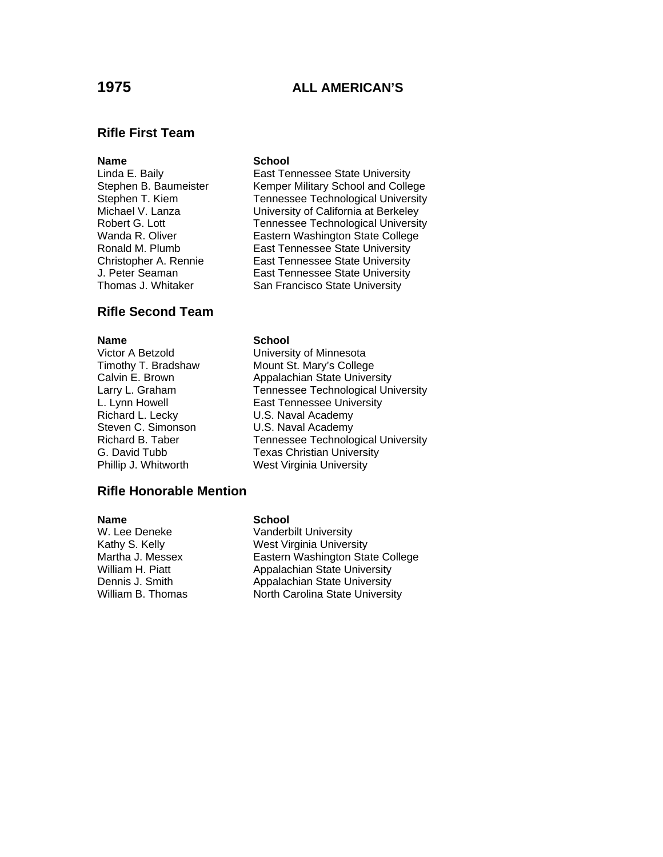# **1975 ALL AMERICAN'S**

# **Rifle First Team**

# **Rifle Second Team**

**Name**<br>
Victor A Betzold<br>
Victor A Betzold<br> **School** Richard L. Lecky **U.S. Naval Academy** Steven C. Simonson **C. S. U.S. Naval Academy**<br>Richard B. Taber **C. C. Tennessee Technolo** 

## **Rifle Honorable Mention**

### **Name** School

Linda E. Baily **East Tennessee State University** Stephen B. Baumeister Kemper Military School and College<br>Stephen T. Kiem Tennessee Technological University Tennessee Technological University Michael V. Lanza University of California at Berkeley Robert G. Lott Tennessee Technological University Wanda R. Oliver **Eastern Washington State College** Ronald M. Plumb East Tennessee State University Christopher A. Rennie East Tennessee State University J. Peter Seaman East Tennessee State University Thomas J. Whitaker San Francisco State University

Victor A Betzold **Charlot Contract University of Minnesota**<br>Timothy T. Bradshaw **Mount St. Mary's Colleg** Mount St. Mary's College Calvin E. Brown **Appalachian State University** Larry L. Graham Tennessee Technological University L. Lynn Howell **East Tennessee University** Tennessee Technological University G. David Tubb Texas Christian University Phillip J. Whitworth West Virginia University

### **Name** School

W. Lee Deneke Vanderbilt University Kathy S. Kelly West Virginia University Martha J. Messex Eastern Washington State College William H. Piatt **Appalachian State University** Dennis J. Smith Appalachian State University William B. Thomas North Carolina State University